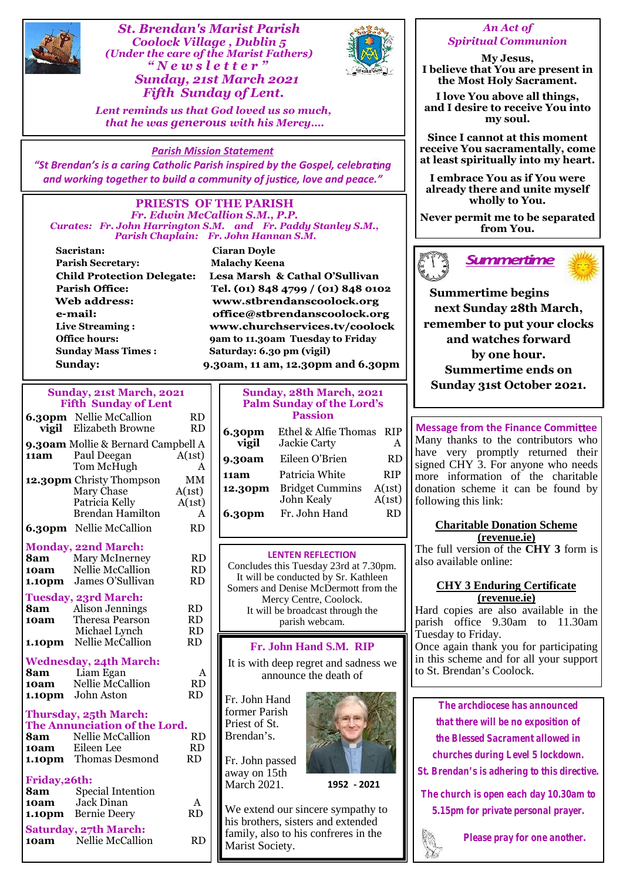

*St. Brendan's Marist Parish Coolock Village , Dublin 5 (Under the care of the Marist Fathers)* **Example 12 Secondary Schools Admist Parish<br>
Coolock Village , Dublin 5<br>
er the care of the Marist Fathers)<br>
" N e w s l e t t e r "<br>
<b>Sunday, 21st March 2021**<br>
Fifth Sunday of Lent *Fifth Sunday of Lent.*



*Lent reminds us that God loved us so much, that he was generous with his Mercy….*

# *Parish Mission Statement*

"St Brendan's is a caring Catholic Parish inspired by the Gospel, celebrating *and working together to build a community of justice, love and peace."* 

#### **PRIESTS OF THE PARISH** *Fr. Edwin McCallion S.M., P.P. Curates: Fr. John Harrington S.M. and Fr. Paddy Stanley S.M., Parish Chaplain: Fr. John Hannan S.M.*

**Sacristan: Ciaran Doyle Parish Secretary: Malachy Keena Child Protection Delegate: Parish Office:** Web address: e-mail: **Live Streaming : Sunday Mass Times : Saturday: 6.30 pm (vigil)**

Lesa Marsh & Cathal O'Sullivan Tel. (01) 848 4799 / (01) 848 0102 www.stbrendanscoolock.org office@stbrendanscoolock.org www.churchservices.tv/coolock **Office hours: 9am to 11.30am Tuesday to Friday Sunday: 9.30am, 11 am, 12.30pm and 6.30pm**

## **Sunday, 21st March, 2021 Fifth Sunday of Lent**

|                                    | <b>6.30pm</b> Nellie McCallion                               | <b>RD</b>        |                                                    | <b>Passion</b>                                 |
|------------------------------------|--------------------------------------------------------------|------------------|----------------------------------------------------|------------------------------------------------|
| vigil                              | Elizabeth Browne                                             | <b>RD</b>        | 6.30pm                                             | Ethel & Alfie                                  |
| 9.30am Mollie & Bernard Campbell A |                                                              |                  | vigil                                              | Jackie Carty                                   |
| 11am                               | Paul Deegan                                                  | A(1st)           | 9.30am                                             | Eileen O'Brie                                  |
|                                    | Tom McHugh                                                   | A                | 11am                                               | Patricia Whit                                  |
|                                    | 12.30pm Christy Thompson                                     | MM               | 12.30pm                                            | <b>Bridget Cum</b>                             |
|                                    | Mary Chase<br>Patricia Kelly                                 | A(1st)<br>A(1st) |                                                    | John Kealy                                     |
|                                    | <b>Brendan Hamilton</b>                                      | A                | <b>6.30pm</b>                                      | Fr. John Har                                   |
|                                    | <b>6.30pm</b> Nellie McCallion                               | RD               |                                                    |                                                |
|                                    |                                                              |                  |                                                    |                                                |
|                                    | <b>Monday, 22nd March:</b>                                   |                  |                                                    |                                                |
| 8am                                | <b>Mary McInerney</b>                                        | <b>RD</b>        | <b>LENTEN REFLECT</b><br>Concludes this Tuesday 23 |                                                |
| 10am                               | Nellie McCallion                                             | <b>RD</b>        | It will be conducted by S                          |                                                |
| 1.10pm                             | James O'Sullivan                                             | <b>RD</b>        | Somers and Denise McDer                            |                                                |
| <b>Tuesday, 23rd March:</b>        |                                                              |                  |                                                    | Mercy Centre, Co                               |
| 8am                                | Alison Jennings                                              | <b>RD</b>        | It will be broadcast the                           |                                                |
| 10am                               | <b>Theresa Pearson</b>                                       | <b>RD</b>        | parish webcan                                      |                                                |
|                                    |                                                              |                  |                                                    |                                                |
|                                    | Michael Lynch                                                | <b>RD</b>        |                                                    |                                                |
| 1.10pm                             | Nellie McCallion                                             | <b>RD</b>        |                                                    | Fr. John Hand S.I                              |
|                                    | <b>Wednesday, 24th March:</b>                                |                  |                                                    |                                                |
| 8am                                | Liam Egan                                                    | A                |                                                    | It is with deep regret and<br>announce the dea |
| 10am                               | Nellie McCallion                                             | <b>RD</b>        |                                                    |                                                |
|                                    | 1.10pm John Aston                                            | <b>RD</b>        | Fr. John Hand                                      |                                                |
|                                    |                                                              |                  | former Parish                                      |                                                |
|                                    | Thursday, 25th March:<br>The Annunciation of the Lord.       |                  | Priest of St.                                      |                                                |
| 8am                                | Nellie McCallion                                             | <b>RD</b>        | Brendan's.                                         |                                                |
| 10am                               | Eileen Lee                                                   | <b>RD</b>        |                                                    |                                                |
|                                    | 1.10pm Thomas Desmond                                        | <b>RD</b>        | Fr. John passed                                    |                                                |
|                                    |                                                              |                  | away on 15th                                       |                                                |
| Friday, 26th:                      |                                                              |                  | March 2021.                                        | 19                                             |
| 8am                                | Special Intention                                            | A                |                                                    |                                                |
| 10am                               | Jack Dinan                                                   | <b>RD</b>        |                                                    | We extend our sincere sy                       |
|                                    | <b>1.10pm</b> Bernie Deery                                   |                  |                                                    | his brothers, sisters and o                    |
|                                    | <b>Saturday, 27th March:</b><br><b>10am</b> Nellie McCallion | <b>RD</b>        | Mariet Society                                     | family, also to his confre                     |

| Sunday, 28th March, 2021<br><b>Palm Sunday of the Lord's</b> |                                      |                  | SUIKAY 31ST OCH                                       |
|--------------------------------------------------------------|--------------------------------------|------------------|-------------------------------------------------------|
| <b>Passion</b>                                               |                                      |                  |                                                       |
| 6.30pm<br>vigil                                              | Ethel & Alfie Thomas<br>Jackie Carty | <b>RIP</b><br>A  | <b>Message from the Fina</b><br>Many thanks to the co |
| <b>9.30am</b>                                                | Eileen O'Brien                       | <b>RD</b>        | have very promptly<br>signed CHY 3. For any           |
| 11am                                                         | Patricia White                       | <b>RIP</b>       | more information of                                   |
| 12.30pm                                                      | <b>Bridget Cummins</b><br>John Kealy | A(1st)<br>A(1st) | donation scheme it can<br>following this link:        |
| 6.30pm                                                       | Fr. John Hand                        | RD               | $\alpha$                                              |

### **LENTEN REFLECTION**

Concludes this Tuesday 23rd at 7.30pm. It will be conducted by Sr. Kathleen Somers and Denise McDermott from the Mercy Centre, Coolock. It will be broadcast through the parish webcam.

# **Fr. John Hand S.M. RIP**

It is with deep regret and sadness we announce the death of



We extend our sincere sympathy to his brothers, sisters and extended family, also to his confreres in the Marist Society.

# *An Act of Spiritual Communion*

**My Jesus, I believe that You are present in the Most Holy Sacrament.**

**I love You above all things, and I desire to receive You into my soul.**

**Since I cannot at this moment receive You sacramentally, come at least spiritually into my heart.**

**I embrace You as if You were already there and unite myself wholly to You.**

**Never permit me to be separated from You.**





**Summertime begins next Sunday 28th March, remember to put your clocks and watches forward by one hour. Summertime ends on Sunday 31st October 2021.**

**9.30am** Eileen O'Brien  $RD$   $\begin{bmatrix} \end{bmatrix}$  have very promptly returned their **11am** Patricia White RIP || more information of the charitable | **Message from the Finance Committee** Many thanks to the contributors who signed CHY 3. For anyone who needs donation scheme it can be found by

## **Charitable Donation Scheme (revenue.ie)**

The full version of the **CHY 3** form is also available online:

# **CHY 3 Enduring Certificate (revenue.ie)**

Hard copies are also available in the parish office 9.30am to 11.30am Tuesday to Friday.

Once again thank you for participating in this scheme and for all your support to St. Brendan's Coolock.

*The archdiocese has announced that there will be no exposition of the Blessed Sacrament allowed in churches during Level 5 lockdown.*

*St. Brendan's is adhering to this directive.*

*The church is open each day 10.30am to*

*5.15pm for private personal prayer.*